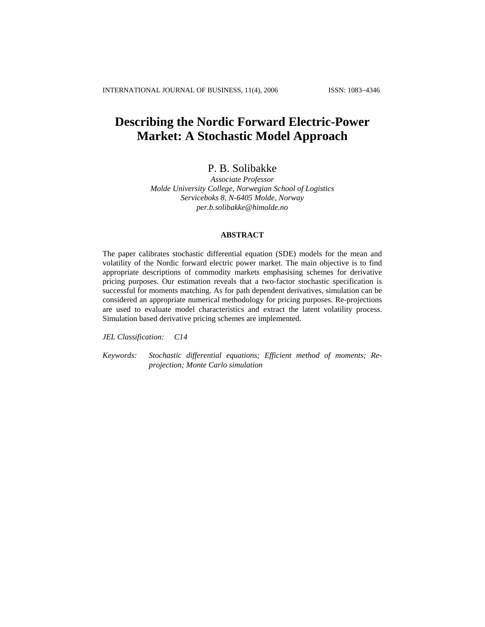# **Describing the Nordic Forward Electric-Power Market: A Stochastic Model Approach**

# P. B. Solibakke

*Associate Professor Molde University College, Norwegian School of Logistics Serviceboks 8, N-6405 Molde, Norway [per.b.solibakke@himolde.no](mailto:per.b.solibakke@himolde.no)*

# **ABSTRACT**

The paper calibrates stochastic differential equation (SDE) models for the mean and volatility of the Nordic forward electric power market. The main objective is to find appropriate descriptions of commodity markets emphasising schemes for derivative pricing purposes. Our estimation reveals that a two-factor stochastic specification is successful for moments matching. As for path dependent derivatives, simulation can be considered an appropriate numerical methodology for pricing purposes. Re-projections are used to evaluate model characteristics and extract the latent volatility process. Simulation based derivative pricing schemes are implemented.

*JEL Classification: C14* 

*Keywords: Stochastic differential equations; Efficient method of moments; Reprojection; Monte Carlo simulation*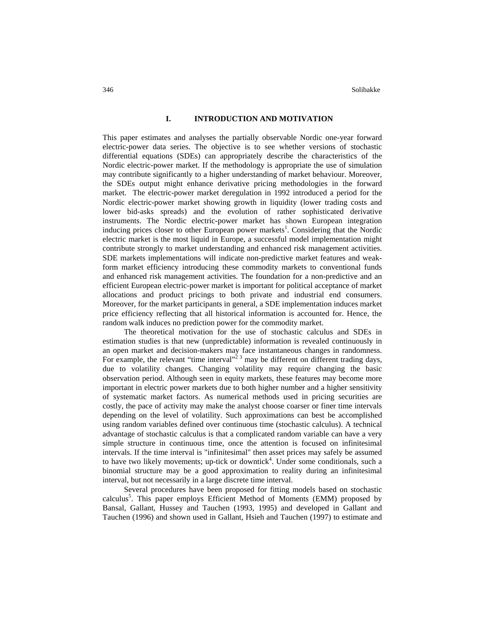#### **I. INTRODUCTION AND MOTIVATION**

This paper estimates and analyses the partially observable Nordic one-year forward electric-power data series. The objective is to see whether versions of stochastic differential equations (SDEs) can appropriately describe the characteristics of the Nordic electric-power market. If the methodology is appropriate the use of simulation may contribute significantly to a higher understanding of market behaviour. Moreover, the SDEs output might enhance derivative pricing methodologies in the forward market. The electric-power market deregulation in 1992 introduced a period for the Nordic electric-power market showing growth in liquidity (lower trading costs and lower bid-asks spreads) and the evolution of rather sophisticated derivative instruments. The Nordic electric-power market has shown European integration inducing prices closer to other European power markets<sup>1</sup>. Considering that the Nordic electric market is the most liquid in Europe, a successful model implementation might contribute strongly to market understanding and enhanced risk management activities. SDE markets implementations will indicate non-predictive market features and weakform market efficiency introducing these commodity markets to conventional funds and enhanced risk management activities. The foundation for a non-predictive and an efficient European electric-power market is important for political acceptance of market allocations and product pricings to both private and industrial end consumers. Moreover, for the market participants in general, a SDE implementation induces market price efficiency reflecting that all historical information is accounted for. Hence, the random walk induces no prediction power for the commodity market.

The theoretical motivation for the use of stochastic calculus and SDEs in estimation studies is that new (unpredictable) information is revealed continuously in an open market and decision-makers may face instantaneous changes in randomness. For example, the relevant "time interval"<sup>2</sup>  $\frac{3}{2}$  may be different on different trading days, due to volatility changes. Changing volatility may require changing the basic observation period. Although seen in equity markets, these features may become more important in electric power markets due to both higher number and a higher sensitivity of systematic market factors. As numerical methods used in pricing securities are costly, the pace of activity may make the analyst choose coarser or finer time intervals depending on the level of volatility. Such approximations can best be accomplished using random variables defined over continuous time (stochastic calculus). A technical advantage of stochastic calculus is that a complicated random variable can have a very simple structure in continuous time, once the attention is focused on infinitesimal intervals. If the time interval is "infinitesimal" then asset prices may safely be assumed to have two likely movements; up-tick or downtick<sup>4</sup>. Under some conditionals, such a binomial structure may be a good approximation to reality during an infinitesimal interval, but not necessarily in a large discrete time interval.

Several procedures have been proposed for fitting models based on stochastic calculus<sup>5</sup>. This paper employs Efficient Method of Moments (EMM) proposed by Bansal, Gallant, Hussey and Tauchen (1993, 1995) and developed in Gallant and Tauchen (1996) and shown used in Gallant, Hsieh and Tauchen (1997) to estimate and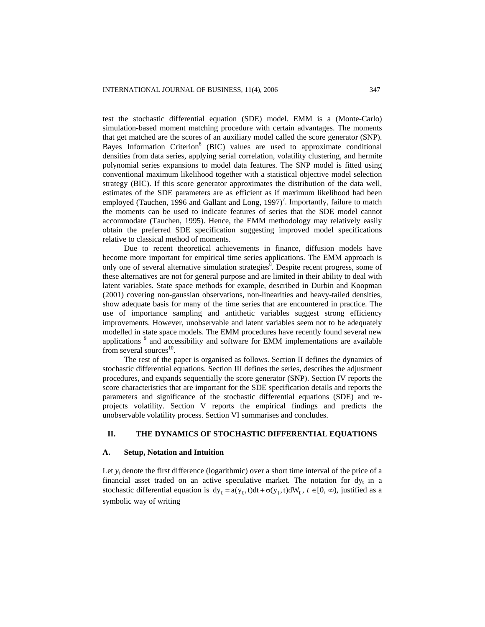test the stochastic differential equation (SDE) model. EMM is a (Monte-Carlo) simulation-based moment matching procedure with certain advantages. The moments that get matched are the scores of an auxiliary model called the score generator (SNP). Bayes Information Criterion<sup>6</sup> (BIC) values are used to approximate conditional densities from data series, applying serial correlation, volatility clustering, and hermite polynomial series expansions to model data features. The SNP model is fitted using conventional maximum likelihood together with a statistical objective model selection strategy (BIC). If this score generator approximates the distribution of the data well, estimates of the SDE parameters are as efficient as if maximum likelihood had been employed (Tauchen, 1996 and Gallant and Long, 1997)<sup>7</sup>. Importantly, failure to match the moments can be used to indicate features of series that the SDE model cannot accommodate (Tauchen, 1995). Hence, the EMM methodology may relatively easily obtain the preferred SDE specification suggesting improved model specifications relative to classical method of moments.

Due to recent theoretical achievements in finance, diffusion models have become more important for empirical time series applications. The EMM approach is only one of several alternative simulation strategies<sup>8</sup>. Despite recent progress, some of these alternatives are not for general purpose and are limited in their ability to deal with latent variables. State space methods for example, described in Durbin and Koopman (2001) covering non-gaussian observations, non-linearities and heavy-tailed densities, show adequate basis for many of the time series that are encountered in practice. The use of importance sampling and antithetic variables suggest strong efficiency improvements. However, unobservable and latent variables seem not to be adequately modelled in state space models. The EMM procedures have recently found several new applications<sup>9</sup> and accessibility and software for EMM implementations are available from several sources $^{10}$ .

The rest of the paper is organised as follows. Section II defines the dynamics of stochastic differential equations. Section III defines the series, describes the adjustment procedures, and expands sequentially the score generator (SNP). Section IV reports the score characteristics that are important for the SDE specification details and reports the parameters and significance of the stochastic differential equations (SDE) and reprojects volatility. Section V reports the empirical findings and predicts the unobservable volatility process. Section VI summarises and concludes.

## **II. THE DYNAMICS OF STOCHASTIC DIFFERENTIAL EQUATIONS**

## **A. Setup, Notation and Intuition**

Let  $y_t$  denote the first difference (logarithmic) over a short time interval of the price of a financial asset traded on an active speculative market. The notation for  $dy_t$  in a stochastic differential equation is  $dy_t = a(y_t,t)dt + \sigma(y_t,t)dW_t$ ,  $t \in [0, \infty)$ , justified as a symbolic way of writing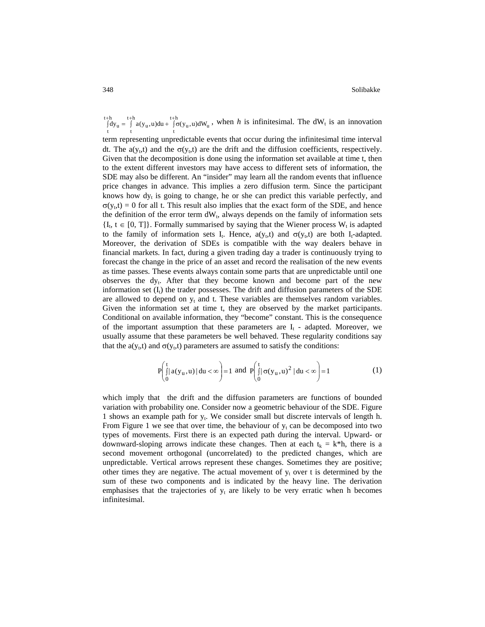#### 348 Solibakke

 $\int_{t}^{+h} dy_u = \int_{t}^{t+h} a(y_u, u) du + \int_{t}^{t+h} \sigma$  $t+h$  $\begin{array}{c}\n\mathbf{u} \cdot \mathbf{u} \cdot \mathbf{u} \cdot \mathbf{u} \cdot \mathbf{u} \cdot \mathbf{u} \cdot \mathbf{u} \cdot \mathbf{u} \cdot \mathbf{u} \cdot \mathbf{u} \cdot \mathbf{u} \cdot \mathbf{u} \cdot \mathbf{u} \cdot \mathbf{u} \cdot \mathbf{u} \cdot \mathbf{u} \cdot \mathbf{u} \cdot \mathbf{u} \cdot \mathbf{u} \cdot \mathbf{u} \cdot \mathbf{u} \cdot \mathbf{u} \cdot \mathbf{u} \cdot \mathbf{u} \cdot \mathbf{u} \cdot \mathbf{u} \cdot \mathbf{$  $\int_{t}^{t+h} \int_{t}^{t+h} a(y_u, u) du + \int_{t}^{t+h} \sigma(y_u, u) dW_u$ , when *h* is infinitesimal. The dW<sub>t</sub> is an innovation

term representing unpredictable events that occur during the infinitesimal time interval dt. The  $a(y_t,t)$  and the  $\sigma(y_t,t)$  are the drift and the diffusion coefficients, respectively. Given that the decomposition is done using the information set available at time t, then to the extent different investors may have access to different sets of information, the SDE may also be different. An "insider" may learn all the random events that influence price changes in advance. This implies a zero diffusion term. Since the participant knows how  $dy_t$  is going to change, he or she can predict this variable perfectly, and  $\sigma(y_t,t) = 0$  for all t. This result also implies that the exact form of the SDE, and hence the definition of the error term  $dW_t$ , always depends on the family of information sets  ${I_t, t \in [0, T]}$ . Formally summarised by saying that the Wiener process  $W_t$  is adapted to the family of information sets I<sub>t</sub>. Hence,  $a(y_t,t)$  and  $\sigma(y_t,t)$  are both I<sub>t</sub>-adapted. Moreover, the derivation of SDEs is compatible with the way dealers behave in financial markets. In fact, during a given trading day a trader is continuously trying to forecast the change in the price of an asset and record the realisation of the new events as time passes. These events always contain some parts that are unpredictable until one observes the dy<sub>t</sub>. After that they become known and become part of the new information set  $(I_t)$  the trader possesses. The drift and diffusion parameters of the SDE are allowed to depend on  $y_t$  and t. These variables are themselves random variables. Given the information set at time t, they are observed by the market participants. Conditional on available information, they "become" constant. This is the consequence of the important assumption that these parameters are  $I_t$  - adapted. Moreover, we usually assume that these parameters be well behaved. These regularity conditions say that the  $a(y_t,t)$  and  $\sigma(y_t,t)$  parameters are assumed to satisfy the conditions:

$$
P\left(\int_{0}^{t} |a(y_{u}, u)| du < \infty\right) = 1 \text{ and } P\left(\int_{0}^{t} |\sigma(y_{u}, u)^{2}| du < \infty\right) = 1
$$
 (1)

which imply that the drift and the diffusion parameters are functions of bounded variation with probability one. Consider now a geometric behaviour of the SDE. Figure 1 shows an example path for  $y_t$ . We consider small but discrete intervals of length h. From Figure 1 we see that over time, the behaviour of  $y_t$  can be decomposed into two types of movements. First there is an expected path during the interval. Upward- or downward-sloping arrows indicate these changes. Then at each  $t_k = k^*h$ , there is a second movement orthogonal (uncorrelated) to the predicted changes, which are unpredictable. Vertical arrows represent these changes. Sometimes they are positive; other times they are negative. The actual movement of  $y_t$  over t is determined by the sum of these two components and is indicated by the heavy line. The derivation emphasises that the trajectories of  $y_t$  are likely to be very erratic when h becomes infinitesimal.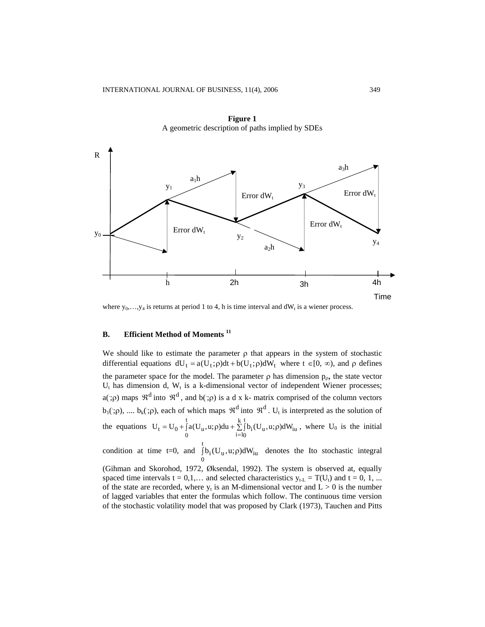

**Figure 1**  A geometric description of paths implied by SDEs

where  $y_0, \ldots, y_4$  is returns at period 1 to 4, h is time interval and dW<sub>t</sub> is a wiener process.

## **B. Efficient Method of Moments 11**

We should like to estimate the parameter  $\rho$  that appears in the system of stochastic differential equations  $dU_t = a(U_t;\rho)dt + b(U_t;\rho)dW_t$  where  $t \in [0, \infty)$ , and  $\rho$  defines the parameter space for the model. The parameter  $\rho$  has dimension  $p_{\rho}$ , the state vector  $U_t$  has dimension d,  $W_t$  is a k-dimensional vector of independent Wiener processes; a(;  $\rho$ ) maps  $\mathfrak{R}^d$  into  $\mathfrak{R}^d$ , and  $b($ ;  $\rho$ ) is a d x k- matrix comprised of the column vectors b<sub>1</sub>(;  $\rho$ ), .... b<sub>k</sub>(;  $\rho$ ), each of which maps  $\mathfrak{R}^d$  into  $\mathfrak{R}^d$ . U<sub>t</sub> is interpreted as the solution of the equations  $U_t = U_0 + \int_0^t a(U_u, u; \rho) du + \sum_{i=1}^{k} \int b_i (U_u, u; \rho) dW_{iu}$ , where U 0 k  $i=1$ t  $U_t = U_0 + \int_a A(U_u, u; \rho) du + \sum_{i=1}^{6} \int b_i(U_u, u; \rho) dW_{iu}$ , where  $U_0$  is the initial

condition at time t=0, and  $\int b_i(U_u, u; \rho) dW_{iu}$  denotes the Ito stochastic integral  $\int_0^b b_i(U_u, u; \rho) dW_{iu}$ 

(Gihman and Skorohod, 1972, Øksendal, 1992). The system is observed at, equally spaced time intervals  $t = 0, 1, ...$  and selected characteristics  $y_{t-L} = T(U_t)$  and  $t = 0, 1, ...$ of the state are recorded, where  $y_t$  is an M-dimensional vector and  $L > 0$  is the number of lagged variables that enter the formulas which follow. The continuous time version of the stochastic volatility model that was proposed by Clark (1973), Tauchen and Pitts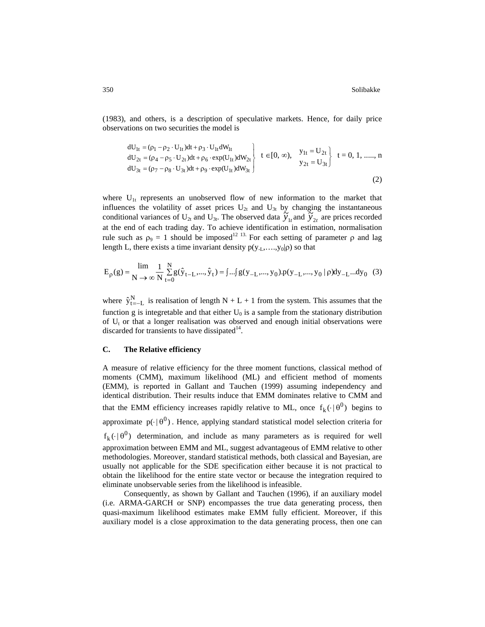(1983), and others, is a description of speculative markets. Hence, for daily price observations on two securities the model is

$$
\begin{aligned}\n\text{d}U_{1t} &= (\rho_1 - \rho_2 \cdot U_{1t}) \text{d}t + \rho_3 \cdot U_{1t} \text{d}W_{1t} \\
\text{d}U_{2t} &= (\rho_4 - \rho_5 \cdot U_{2t}) \text{d}t + \rho_6 \cdot \exp(U_{1t}) \text{d}W_{2t} \\
\text{d}U_{3t} &= (\rho_7 - \rho_8 \cdot U_{3t}) \text{d}t + \rho_9 \cdot \exp(U_{1t}) \text{d}W_{3t}\n\end{aligned}\n\quad t \in [0, \infty), \quad\n\begin{aligned}\ny_{1t} &= U_{2t} \\
y_{2t} &= U_{3t}\n\end{aligned}\n\quad t = 0, 1, \dots, n\n\end{aligned}
$$
\n(2)

where  $U_{1t}$  represents an unobserved flow of new information to the market that influences the volatility of asset prices  $U_{2t}$  and  $U_{3t}$  by changing the instantaneous conditional variances of U<sub>2t</sub> and U<sub>3t</sub>. The observed data  $\widetilde{y}_{1t}$  and  $\widetilde{y}_{2t}$  are prices recorded at the end of each trading day. To achieve identification in estimation, normalisation rule such as  $ρ_9 = 1$  should be imposed<sup>12 13</sup>. For each setting of parameter  $ρ$  and lag length L, there exists a time invariant density  $p(y_{-L},...,y_0|\rho)$  so that

$$
E_{\rho}(g) = \frac{\lim_{N \to \infty} 1}{N \to \infty} \sum_{t=0}^{N} g(\hat{y}_{t-L},...,\hat{y}_{t}) = \int ... \int g(y_{-L},...,y_0) \cdot p(y_{-L},...,y_0 | \rho) dy_{-L}...dy_0
$$
 (3)

where  $\hat{y}_{t=-L}^{N}$  is realisation of length N + L + 1 from the system. This assumes that the function g is integretable and that either  $U_0$  is a sample from the stationary distribution of  $U_t$  or that a longer realisation was observed and enough initial observations were discarded for transients to have dissipated $14$ .

#### **C. The Relative efficiency**

A measure of relative efficiency for the three moment functions, classical method of moments (CMM), maximum likelihood (ML) and efficient method of moments (EMM), is reported in Gallant and Tauchen (1999) assuming independency and identical distribution. Their results induce that EMM dominates relative to CMM and that the EMM efficiency increases rapidly relative to ML, once  $f_k(\cdot | \theta^0)$  begins to approximate  $p(\cdot | \theta^0)$ . Hence, applying standard statistical model selection criteria for  $f_k(\cdot | \theta^0)$  determination, and include as many parameters as is required for well approximation between EMM and ML, suggest advantageous of EMM relative to other methodologies. Moreover, standard statistical methods, both classical and Bayesian, are usually not applicable for the SDE specification either because it is not practical to obtain the likelihood for the entire state vector or because the integration required to eliminate unobservable series from the likelihood is infeasible.

Consequently, as shown by Gallant and Tauchen (1996), if an auxiliary model (i.e. ARMA-GARCH or SNP) encompasses the true data generating process, then quasi-maximum likelihood estimates make EMM fully efficient. Moreover, if this auxiliary model is a close approximation to the data generating process, then one can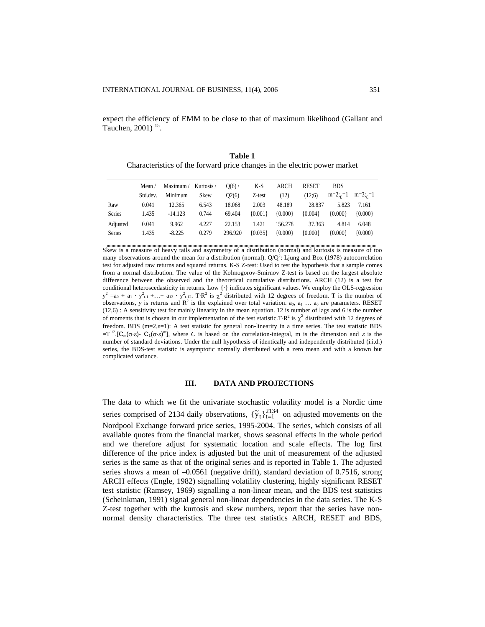expect the efficiency of EMM to be close to that of maximum likelihood (Gallant and Tauchen,  $2001$ )<sup>15</sup>.

**Table 1**  Characteristics of the forward price changes in the electric power market

|               | Mean /   | Maximum/  | Kurtosis / | $O(6)$ / | K-S       | <b>ARCH</b> | <b>RESET</b> | <b>BDS</b>   |               |
|---------------|----------|-----------|------------|----------|-----------|-------------|--------------|--------------|---------------|
|               | Std.dev. | Minimum   | Skew       | Q2(6)    | Z-test    | (12)        | (12:6)       | $m=2;_{s}=1$ | $m=3$ ; $c=1$ |
| Raw           | 0.041    | 12.365    | 6.543      | 18.068   | 2.003     | 48.189      | 28.837       | 5.823        | 7.161         |
| <b>Series</b> | 1.435    | $-14.123$ | 0.744      | 69.404   | ${0.001}$ | ${0.000}$   | ${0.004}$    | ${0.000}$    | ${0.000}$     |
| Adjusted      | 0.041    | 9.962     | 4.227      | 22.153   | 1.421     | 156.278     | 37.363       | 4.814        | 6.048         |
| <b>Series</b> | 1.435    | $-8.225$  | 0.279      | 296.920  | ${0.035}$ | ${0.000}$   | ${0.000}$    | ${0.000}$    | ${0.000}$     |

Skew is a measure of heavy tails and asymmetry of a distribution (normal) and kurtosis is measure of too many observations around the mean for a distribution (normal).  $Q/Q^2$ : Ljung and Box (1978) autocorrelation test for adjusted raw returns and squared returns. K-S Z-test: Used to test the hypothesis that a sample comes from a normal distribution. The value of the Kolmogorov-Smirnov Z-test is based on the largest absolute difference between the observed and the theoretical cumulative distributions. ARCH (12) is a test for conditional heteroscedasticity in returns. Low {·} indicates significant values. We employ the OLS-regression  $y^2 = a_0 + a_1 \cdot y_{t-1}^2 + \ldots + a_{12} \cdot y_{t-12}^2$ . T·R<sup>2</sup> is  $\chi^2$  distributed with 12 degrees of freedom. T is the number of observations, y is returns and  $\mathbb{R}^2$  is the explained over total variation. a<sub>0</sub>, a<sub>1</sub> … a<sub>6</sub> are parameters. RESET (12,6) : A sensitivity test for mainly linearity in the mean equation. 12 is number of lags and 6 is the number of moments that is chosen in our implementation of the test statistic.T·R<sup>2</sup> is  $\chi^2$  distributed with 12 degrees of freedom. BDS (m=2, $\varepsilon$ =1): A test statistic for general non-linearity in a time series. The test statistic BDS  $=T^{1/2}$ .[C<sub>m</sub>(σ·ε)- C<sub>1</sub>(σ·ε)<sup>m</sup>], where *C* is based on the correlation-integral, m is the dimension and  $\varepsilon$  is the number of standard deviations. Under the null hypothesis of identically and independently distributed (i.i.d.) series, the BDS-test statistic is asymptotic normally distributed with a zero mean and with a known but complicated variance.

## **III. DATA AND PROJECTIONS**

The data to which we fit the univariate stochastic volatility model is a Nordic time series comprised of 2134 daily observations,  $\{\tilde{y}_t\}_{t=1}^{2134}$  on adjusted movements on the Nordpool Exchange forward price series, 1995-2004. The series, which consists of all available quotes from the financial market, shows seasonal effects in the whole period and we therefore adjust for systematic location and scale effects. The log first difference of the price index is adjusted but the unit of measurement of the adjusted series is the same as that of the original series and is reported in Table 1. The adjusted series shows a mean of  $-0.0561$  (negative drift), standard deviation of 0.7516, strong ARCH effects (Engle, 1982) signalling volatility clustering, highly significant RESET test statistic (Ramsey, 1969) signalling a non-linear mean, and the BDS test statistics (Scheinkman, 1991) signal general non-linear dependencies in the data series. The K-S Z-test together with the kurtosis and skew numbers, report that the series have nonnormal density characteristics. The three test statistics ARCH, RESET and BDS,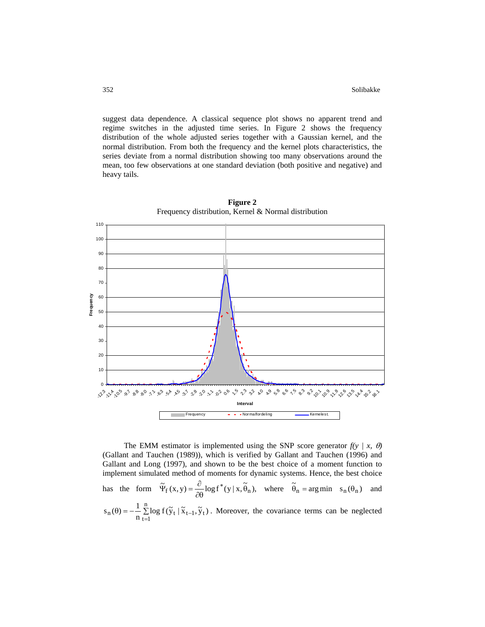suggest data dependence. A classical sequence plot shows no apparent trend and regime switches in the adjusted time series. In Figure 2 shows the frequency distribution of the whole adjusted series together with a Gaussian kernel, and the normal distribution. From both the frequency and the kernel plots characteristics, the series deviate from a normal distribution showing too many observations around the mean, too few observations at one standard deviation (both positive and negative) and heavy tails.



**Figure 2**  Frequency distribution, Kernel & Normal distribution

The EMM estimator is implemented using the SNP score generator  $f(y \mid x, \theta)$ (Gallant and Tauchen (1989)), which is verified by Gallant and Tauchen (1996) and Gallant and Long (1997), and shown to be the best choice of a moment function to implement simulated method of moments for dynamic systems. Hence, the best choice has the form  $\tilde{\Psi}_f(x, y) = \frac{\partial}{\partial \theta} \log f^*(y | x, \tilde{\theta}_n)$ , where  $\tilde{\theta}_n = \arg \min s_n(\theta_n)$  and  $\theta$ ) =  $-\frac{1}{n} \sum_{t=1}^n \log f(\tilde{y}_t | \tilde{x}_{t-1})$  $s_n(\theta) = -\frac{1}{n} \sum_{t=1}^n \log f(\tilde{y}_t | \tilde{x}_{t-1}, \tilde{y}_t)$ . Moreover, the covariance terms can be neglected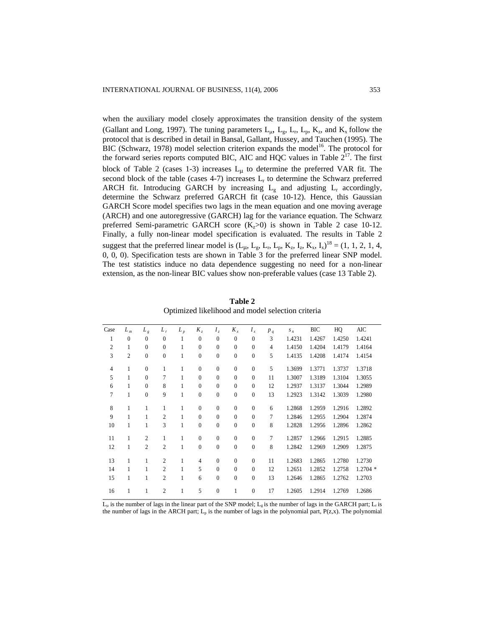when the auxiliary model closely approximates the transition density of the system (Gallant and Long, 1997). The tuning parameters  $L_{\mu}$ ,  $L_{g}$ ,  $L_{r}$ ,  $L_{p}$ ,  $K_{z}$ , and  $K_{x}$  follow the protocol that is described in detail in Bansal, Gallant, Hussey, and Tauchen (1995). The BIC (Schwarz, 1978) model selection criterion expands the model<sup>16</sup>. The protocol for the forward series reports computed BIC, AIC and HQC values in Table  $2^{17}$ . The first block of Table 2 (cases 1-3) increases  $L_{\mu}$  to determine the preferred VAR fit. The second block of the table (cases 4-7) increases  $L_r$  to determine the Schwarz preferred ARCH fit. Introducing GARCH by increasing  $L_g$  and adjusting  $L_r$  accordingly, determine the Schwarz preferred GARCH fit (case 10-12). Hence, this Gaussian GARCH Score model specifies two lags in the mean equation and one moving average (ARCH) and one autoregressive (GARCH) lag for the variance equation. The Schwarz preferred Semi-parametric GARCH score  $(K_z>0)$  is shown in Table 2 case 10-12. Finally, a fully non-linear model specification is evaluated. The results in Table 2 suggest that the preferred linear model is  $(L_{\mu}, L_{g}, L_{r}, L_{p}, K_{z}, I_{z}, K_{x}, I_{x})^{18} = (1, 1, 2, 1, 4,$ 0, 0, 0). Specification tests are shown in Table 3 for the preferred linear SNP model. The test statistics induce no data dependence suggesting no need for a non-linear extension, as the non-linear BIC values show non-preferable values (case 13 Table 2).

| Case           | $L_m$          | $L_g$          | $L_r$          | $L_{p}$      | $K_z$            | $I_z$            | $K_{x}$          | $I_x$            | $p_q$          | $S_n$  | BIC    | HQ     | AIC        |
|----------------|----------------|----------------|----------------|--------------|------------------|------------------|------------------|------------------|----------------|--------|--------|--------|------------|
| 1              | $\mathbf{0}$   | $\mathbf{0}$   | $\mathbf{0}$   | $\mathbf{1}$ | $\overline{0}$   | $\mathbf{0}$     | $\mathbf{0}$     | $\mathbf{0}$     | 3              | 1.4231 | 1.4267 | 1.4250 | 1.4241     |
| $\overline{2}$ | 1              | $\mathbf{0}$   | $\overline{0}$ | 1            | $\mathbf{0}$     | $\mathbf{0}$     | $\mathbf{0}$     | $\mathbf{0}$     | $\overline{4}$ | 1.4150 | 1.4204 | 1.4179 | 1.4164     |
| 3              | $\mathfrak{2}$ | $\mathbf{0}$   | $\mathbf{0}$   | $\mathbf{1}$ | $\boldsymbol{0}$ | $\mathbf{0}$     | $\boldsymbol{0}$ | $\boldsymbol{0}$ | 5              | 1.4135 | 1.4208 | 1.4174 | 1.4154     |
| $\overline{4}$ | $\mathbf{1}$   | $\overline{0}$ | $\mathbf{1}$   | 1            | $\mathbf{0}$     | $\mathbf{0}$     | $\mathbf{0}$     | $\mathbf{0}$     | 5              | 1.3699 | 1.3771 | 1.3737 | 1.3718     |
| 5              | $\mathbf{1}$   | $\overline{0}$ | 7              | 1            | $\mathbf{0}$     | $\mathbf{0}$     | $\mathbf{0}$     | $\mathbf{0}$     | 11             | 1.3007 | 1.3189 | 1.3104 | 1.3055     |
| 6              | 1              | $\mathbf{0}$   | 8              | $\mathbf{1}$ | $\mathbf{0}$     | $\mathbf{0}$     | $\mathbf{0}$     | $\mathbf{0}$     | 12             | 1.2937 | 1.3137 | 1.3044 | 1.2989     |
| 7              | $\mathbf{1}$   | $\overline{0}$ | 9              | $\mathbf{1}$ | $\mathbf{0}$     | $\mathbf{0}$     | $\mathbf{0}$     | $\mathbf{0}$     | 13             | 1.2923 | 1.3142 | 1.3039 | 1.2980     |
| 8              | $\mathbf{1}$   | 1              | $\mathbf{1}$   | 1            | $\mathbf{0}$     | $\mathbf{0}$     | $\mathbf{0}$     | $\mathbf{0}$     | 6              | 1.2868 | 1.2959 | 1.2916 | 1.2892     |
| 9              | $\mathbf{1}$   | 1              | $\overline{2}$ | $\mathbf{1}$ | $\mathbf{0}$     | $\mathbf{0}$     | $\mathbf{0}$     | $\mathbf{0}$     | 7              | 1.2846 | 1.2955 | 1.2904 | 1.2874     |
| 10             | $\mathbf{1}$   | 1              | 3              | $\mathbf{1}$ | $\overline{0}$   | $\mathbf{0}$     | $\mathbf{0}$     | $\mathbf{0}$     | 8              | 1.2828 | 1.2956 | 1.2896 | 1.2862     |
| 11             | 1              | $\overline{2}$ | $\mathbf{1}$   | 1            | $\mathbf{0}$     | $\mathbf{0}$     | $\mathbf{0}$     | $\mathbf{0}$     | 7              | 1.2857 | 1.2966 | 1.2915 | 1.2885     |
| 12             | $\mathbf{1}$   | $\overline{2}$ | $\overline{2}$ | $\mathbf{1}$ | $\mathbf{0}$     | $\mathbf{0}$     | $\mathbf{0}$     | $\mathbf{0}$     | 8              | 1.2842 | 1.2969 | 1.2909 | 1.2875     |
| 13             | $\mathbf{1}$   | 1              | $\overline{2}$ | $\mathbf{1}$ | $\overline{4}$   | $\mathbf{0}$     | $\mathbf{0}$     | $\mathbf{0}$     | 11             | 1.2683 | 1.2865 | 1.2780 | 1.2730     |
| 14             | 1              | 1              | $\overline{2}$ | $\mathbf{1}$ | 5                | $\mathbf{0}$     | $\mathbf{0}$     | $\mathbf{0}$     | 12             | 1.2651 | 1.2852 | 1.2758 | $1.2704$ * |
| 15             | $\mathbf{1}$   | $\mathbf{1}$   | $\overline{2}$ | $\mathbf{1}$ | 6                | $\boldsymbol{0}$ | $\boldsymbol{0}$ | $\boldsymbol{0}$ | 13             | 1.2646 | 1.2865 | 1.2762 | 1.2703     |
| 16             | 1              | 1              | $\overline{2}$ | 1            | 5                | $\mathbf{0}$     | 1                | $\mathbf{0}$     | 17             | 1.2605 | 1.2914 | 1.2769 | 1.2686     |
|                |                |                |                |              |                  |                  |                  |                  |                |        |        |        |            |

**Table 2**  Optimized likelihood and model selection criteria

 $L_{\mu}$  is the number of lags in the linear part of the SNP model;  $L_{g}$  is the number of lags in the GARCH part;  $L_{r}$  is the number of lags in the ARCH part;  $L_p$  is the number of lags in the polynomial part,  $P(z,x)$ . The polynomial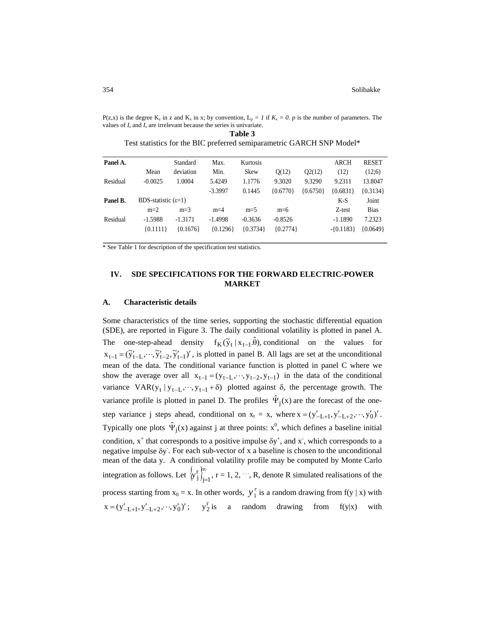P(z,x) is the degree  $K_z$  in z and  $K_x$  in x; by convention,  $L_p = I$  if  $K_x = 0$ . *p* is the number of parameters. The values of  $I_z$  and  $I_x$  are irrelevant because the series is univariate.

| Panel A. |                              | Standard   | Max.       | Kurtosis    |            |            | <b>ARCH</b>  | <b>RESET</b> |
|----------|------------------------------|------------|------------|-------------|------------|------------|--------------|--------------|
|          | Mean                         | deviation  | Min.       | <b>Skew</b> | Q(12)      | Q2(12)     | (12)         | (12:6)       |
| Residual | $-0.0025$                    | 1.0004     | 5.4249     | 1.1776      | 9.3020     | 9.3290     | 9.2311       | 13.8047      |
|          |                              |            | $-3.3997$  | 0.1445      | ${0.6770}$ | ${0.6750}$ | ${0.6831}$   | ${0.3134}$   |
| Panel B. | BDS-statistic $(\epsilon=1)$ |            |            |             |            |            | $K-S$        | Joint        |
|          | $m=2$                        | $m=3$      | $m=4$      | $m=5$       | $m=6$      |            | Z-test       | <b>Bias</b>  |
| Residual | $-1.5988$                    | $-1.3171$  | $-1.4998$  | $-0.3636$   | $-0.8526$  |            | $-1.1890$    | 7.2323       |
|          | ${0.1111}$                   | ${0.1676}$ | ${0.1296}$ | ${0.3734}$  | ${0.2774}$ |            | $-$ {0.1183} | ${0.0649}$   |

|                                                                       | Table 3 |  |  |
|-----------------------------------------------------------------------|---------|--|--|
| Test statistics for the BIC preferred semiparametric GARCH SNP Model* |         |  |  |

\* See Table 1 for description of the specification test statistics.

# **IV. SDE SPECIFICATIONS FOR THE FORWARD ELECTRIC-POWER MARKET**

#### **A. Characteristic details**

Some characteristics of the time series, supporting the stochastic differential equation (SDE), are reported in Figure 3. The daily conditional volatility is plotted in panel A. The one-step-ahead density  $f_K(\tilde{y}_t | x_{t-1}.\hat{\theta})$ , conditional on the values for  $x_{t-1} = (\tilde{y}'_{t-1}, \dots, \tilde{y}'_{t-2}, \tilde{y}'_{t-1})'$ , is plotted in panel B. All lags are set at the unconditional mean of the data. The conditional variance function is plotted in panel C where we show the average over all  $x_{t-1} = (y_{t-L}, \dots, y_{t-2}, y_{t-1})$  in the data of the conditional variance  $VAR(y_t | y_{t-L}, \dots, y_{t-1} + \delta)$  plotted against  $\delta$ , the percentage growth. The variance profile is plotted in panel D. The profiles  $\hat{\Psi}_j(x)$  are the forecast of the onestep variance j steps ahead, conditional on  $x_t = x$ , where  $x = (y'_{-L+1}, y'_{-L+2}, \dots, y'_0)'$ . Typically one plots  $\hat{\Psi}_j(x)$  against j at three points:  $x^0$ , which defines a baseline initial condition,  $x^+$  that corresponds to a positive impulse  $\delta y^+$ , and  $x$ , which corresponds to a negative impulse δy- . For each sub-vector of x a baseline is chosen to the unconditional mean of the data y. A conditional volatility profile may be computed by Monte Carlo integration as follows. Let  $\{y_j^r\}_{j=1}^{\infty}$ , r = 1, 2,  $y_j^r \int_{i=1}^{\infty}$ ,  $r = 1, 2, \dots$ , R, denote R simulated realisations of the process starting from  $x_0 = x$ . In other words,  $y_1^r$  is a random drawing from f(y | x) with  $x = (y'_{-1+1}, y'_{-1+2}, \cdots, y'_0)';$   $y_2^T$  is a random drawing from f(y|x) with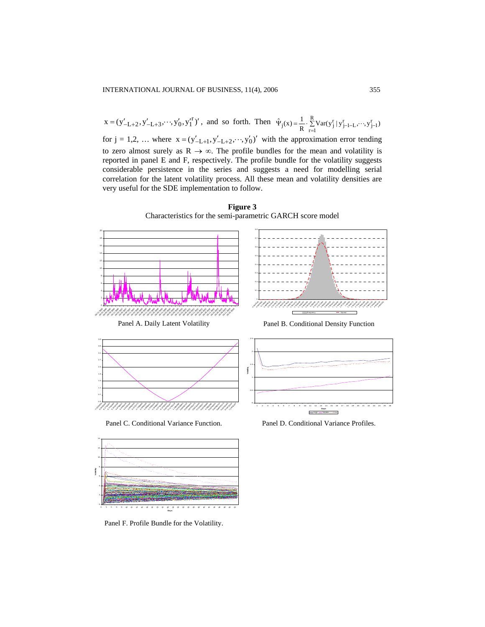$x = (y'_{-L+2}, y'_{-L+3}, \dots, y'_0, y_1'^r)'$ , and so forth. Then  $\hat{\Psi}_j(x) = \frac{1}{R} \cdot \sum_{r=1}^{R} Var(y_j^r | y_{j-l-L}^r, \dots, y_{j-l}^r)$  $\hat{\Psi}_j(x) = \frac{1}{R} \cdot \sum_{r=1}^{R} Var(y_j^r | y_{j-1-L}^r, \dots, y_{j-1}^r)$ for  $j = 1, 2, ...$  where  $x = (y'_{-L+1}, y'_{-L+2}, \dots, y'_0)$  with the approximation error tending to zero almost surely as  $R \to \infty$ . The profile bundles for the mean and volatility is reported in panel E and F, respectively. The profile bundle for the volatility suggests considerable persistence in the series and suggests a need for modelling serial correlation for the latent volatility process. All these mean and volatility densities are very useful for the SDE implementation to follow.



**Figure 3**  Characteristics for the semi-parametric GARCH score model



**Days**

Panel F. Profile Bundle for the Volatility.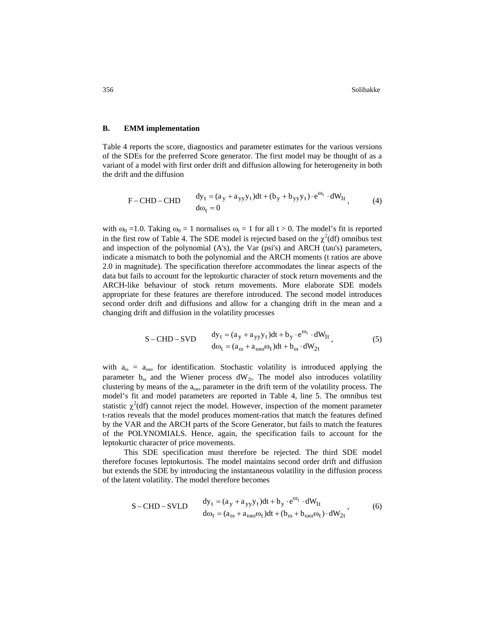356 Solibakke Solibakke Solibakke Solibakke Solibakke Solibakke Solibakke Solibakke Solibakke Solibakke Solibakke Solibakke Solibakke Solibakke Solibakke Solibakke Solibakke Solibakke Solibakke Solibakke Solibakke Solibakk

#### **B. EMM implementation**

Table 4 reports the score, diagnostics and parameter estimates for the various versions of the SDEs for the preferred Score generator. The first model may be thought of as a variant of a model with first order drift and diffusion allowing for heterogeneity in both the drift and the diffusion

$$
F-CHD-CHD \t\t dyt = (ay + ayyyt)dt + (by + byyyt) \t\t eωt \t\t dW1t, \t\t (4)
$$

with  $\omega_0 = 1.0$ . Taking  $\omega_0 = 1$  normalises  $\omega_t = 1$  for all t > 0. The model's fit is reported in the first row of Table 4. The SDE model is rejected based on the  $\chi^2$ (df) omnibus test and inspection of the polynomial (A's), the Var (psi's) and ARCH (tau's) parameters, indicate a mismatch to both the polynomial and the ARCH moments (t ratios are above 2.0 in magnitude). The specification therefore accommodates the linear aspects of the data but fails to account for the leptokurtic character of stock return movements and the ARCH-like behaviour of stock return movements. More elaborate SDE models appropriate for these features are therefore introduced. The second model introduces second order drift and diffusions and allow for a changing drift in the mean and a changing drift and diffusion in the volatility processes

$$
S-CHD-SVD \t\t dyt = (ay + ayyyt)dt + by \cdot eωt \cdot dW1t,dωt = (aω + aωωωt)dt + bω \cdot dW2t,
$$
\t(5)

with  $a_{\omega} = a_{\omega\omega}$  for identification. Stochastic volatility is introduced applying the parameter  $b_{\omega}$  and the Wiener process  $dW_{2t}$ . The model also introduces volatility clustering by means of the  $a_{000}$  parameter in the drift term of the volatility process. The model's fit and model parameters are reported in Table 4, line 5. The omnibus test statistic  $\chi^2$ (df) cannot reject the model. However, inspection of the moment parameter t-ratios reveals that the model produces moment-ratios that match the features defined by the VAR and the ARCH parts of the Score Generator, but fails to match the features of the POLYNOMIALS. Hence, again, the specification fails to account for the leptokurtic character of price movements.

This SDE specification must therefore be rejected. The third SDE model therefore focuses leptokurtosis. The model maintains second order drift and diffusion but extends the SDE by introducing the instantaneous volatility in the diffusion process of the latent volatility. The model therefore becomes

$$
S-CHD-SVID \t\t dyt = (ay + ayyyt)dt + by \cdot eωt \cdot dW1t\t\t dωt = (aω + aωωωt)dt + (bω + bωωωt) \cdot dW2t, \t\t(6)
$$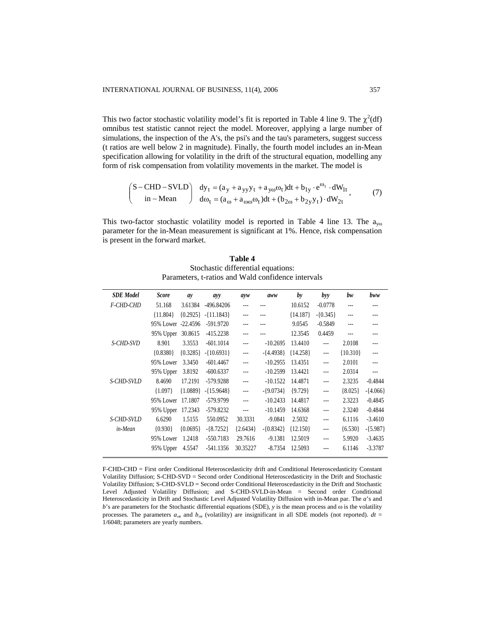This two factor stochastic volatility model's fit is reported in Table 4 line 9. The  $\chi^2(df)$ omnibus test statistic cannot reject the model. Moreover, applying a large number of simulations, the inspection of the A's, the psi's and the tau's parameters, suggest success (t ratios are well below 2 in magnitude). Finally, the fourth model includes an in-Mean specification allowing for volatility in the drift of the structural equation, modelling any form of risk compensation from volatility movements in the market. The model is

$$
\begin{pmatrix} S - CHD - SVLD \\ in - Mean \end{pmatrix} \begin{array}{l} dy_t = (a_y + a_{yy}y_t + a_{yo}\omega_t)dt + b_{1y} \cdot e^{\omega_t} \cdot dW_{1t} \\ d\omega_t = (a_{\omega} + a_{\omega\omega}\omega_t)dt + (b_{2\omega} + b_{2y}y_t) \cdot dW_{2t} \end{array}, \tag{7}
$$

This two-factor stochastic volatility model is reported in Table 4 line 13. The  $a_{\text{y0}}$ parameter for the in-Mean measurement is significant at 1%. Hence, risk compensation is present in the forward market.

| Table 4                                            |
|----------------------------------------------------|
| Stochastic differential equations:                 |
| Parameters, t-ratios and Wald confidence intervals |

| <b>SDE</b> Model | <b>Score</b>       | ay         | ayy                   | ayw            | aww          | by         | byy                  | bw         | bww         |
|------------------|--------------------|------------|-----------------------|----------------|--------------|------------|----------------------|------------|-------------|
| F-CHD-CHD        | 51.168             | 3.61384    | -496.84206            | ---            |              | 10.6152    | $-0.0778$            |            |             |
|                  | ${11.804}$         |            | ${0.2925}$ -{11.1843} | ---            |              | ${14.187}$ | $-$ {0.345}          |            |             |
|                  | 95% Lower -22.4596 |            | $-591.9720$           | ---            |              | 9.0545     | $-0.5849$            |            |             |
|                  | 95% Upper 30.8615  |            | $-415.2238$           |                |              | 12.3545    | 0.4459               |            |             |
| S-CHD-SVD        | 8.901              | 3.3553     | $-601.1014$           | ---            | $-10.2695$   | 13.4410    | $\frac{1}{2}$        | 2.0108     | ---         |
|                  | ${0.8380}$         | ${0.3285}$ | $-$ {10.6931}         | $-$            | $-{4.4938}$  | ${14.258}$ | $\cdots$             | ${10.310}$ |             |
|                  | 95% Lower          | 3.3450     | $-601.4467$           | $\sim$         | $-10.2955$   | 13.4351    | $\sim$               | 2.0101     |             |
|                  | 95% Upper          | 3.8192     | $-600.6337$           |                | $-10.2599$   | 13.4421    | $\overline{a}$       | 2.0314     |             |
| S-CHD-SVLD       | 8.4690             | 17.2191    | -579.9288             | $-$            | $-10.1522$   | 14.4871    | $\overline{a}$       | 2.3235     | $-0.4844$   |
|                  | ${1.097}$          | ${1.0889}$ | $-{15.9648}$          | ---            | $-$ {9.0734} | ${9.729}$  | $\sim$ $\sim$ $\sim$ | ${8.025}$  | $-{4.066}$  |
|                  | 95% Lower          | 17.1807    | -579.9799             | $\overline{a}$ | $-10.2433$   | 14.4817    | $\frac{1}{2}$        | 2.3223     | $-0.4845$   |
|                  | 95% Upper 17.2343  |            | -579.8232             | $\overline{a}$ | $-10.1459$   | 14.6368    | $\cdots$             | 2.3240     | $-0.4844$   |
| S-CHD-SVLD       | 6.6290             | 1.5155     | 550.0952              | 30.3331        | $-9.0841$    | 2.5032     | $\overline{a}$       | 6.1116     | $-3.4610$   |
| in-Mean          | ${0.930}$          | ${0.0695}$ | $-$ {8.7252}          | ${2.6434}$     | $-$ {0.8342} | ${12.150}$ | $--$                 | ${6.530}$  | $-$ {5.987} |
|                  | 95% Lower          | 1.2418     | $-550.7183$           | 29.7616        | $-9.1381$    | 12.5019    | $\sim$               | 5.9920     | $-3.4635$   |
|                  | 95% Upper          | 4.5547     | $-541.1356$           | 30.35227       | $-8.7354$    | 12.5093    | ---                  | 6.1146     | $-3.3787$   |

F-CHD-CHD = First order Conditional Heteroscedasticity drift and Conditional Heteroscedasticity Constant Volatility Diffusion; S-CHD-SVD = Second order Conditional Heteroscedasticity in the Drift and Stochastic Volatility Diffusion; S-CHD-SVLD = Second order Conditional Heteroscedasticity in the Drift and Stochastic Level Adjusted Volatility Diffusion; and S-CHD-SVLD-in-Mean = Second order Conditional Heteroscedasticity in Drift and Stochastic Level Adjusted Volatility Diffusion with in-Mean par. The *a*'s and *b*'s are parameters for the Stochastic differential equations (SDE), *y* is the mean process and ω is the volatility processes. The parameters  $a_{\text{ox}}$  and  $b_{\text{ox}}$  (volatility) are insignificant in all SDE models (not reported).  $dt =$ 1/6048; parameters are yearly numbers.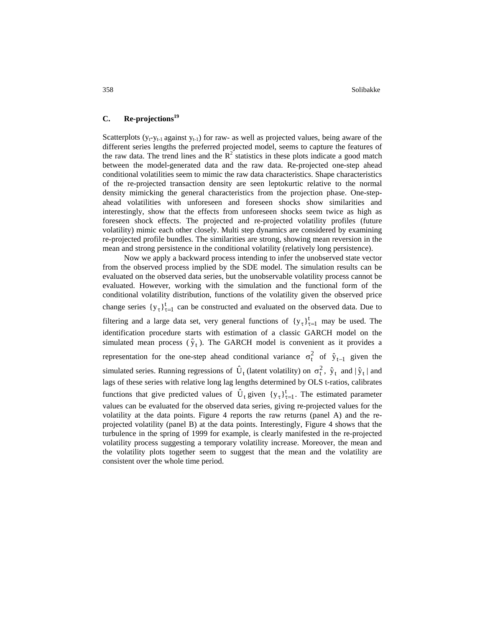358 Solibakke

# **C. Re-projections19**

Scatterplots  $(y_t - y_{t-1})$  against  $y_{t-1}$ ) for raw- as well as projected values, being aware of the different series lengths the preferred projected model, seems to capture the features of the raw data. The trend lines and the  $R^2$  statistics in these plots indicate a good match between the model-generated data and the raw data. Re-projected one-step ahead conditional volatilities seem to mimic the raw data characteristics. Shape characteristics of the re-projected transaction density are seen leptokurtic relative to the normal density mimicking the general characteristics from the projection phase. One-stepahead volatilities with unforeseen and foreseen shocks show similarities and interestingly, show that the effects from unforeseen shocks seem twice as high as foreseen shock effects. The projected and re-projected volatility profiles (future volatility) mimic each other closely. Multi step dynamics are considered by examining re-projected profile bundles. The similarities are strong, showing mean reversion in the mean and strong persistence in the conditional volatility (relatively long persistence).

Now we apply a backward process intending to infer the unobserved state vector from the observed process implied by the SDE model. The simulation results can be evaluated on the observed data series, but the unobservable volatility process cannot be evaluated. However, working with the simulation and the functional form of the conditional volatility distribution, functions of the volatility given the observed price change series  $\{y_\tau\}_{\tau=1}^t$  can be constructed and evaluated on the observed data. Due to filtering and a large data set, very general functions of  ${y<sub>τ</sub>}<sub>τ=1</sub><sup>t</sup>$  may be used. The identification procedure starts with estimation of a classic GARCH model on the simulated mean process  $(\hat{y}_t)$ . The GARCH model is convenient as it provides a representation for the one-step ahead conditional variance  $\sigma_t^2$  of  $\hat{y}_{t-1}$  given the simulated series. Running regressions of  $\hat{U}_t$  (latent volatility) on  $\sigma_t^2$ ,  $\hat{y}_t$  and  $|\hat{y}_t|$  and lags of these series with relative long lag lengths determined by OLS t-ratios, calibrates functions that give predicted values of  $\hat{U}_t$  given  $\{y_\tau\}_{\tau=1}^t$ . The estimated parameter values can be evaluated for the observed data series, giving re-projected values for the volatility at the data points. Figure 4 reports the raw returns (panel A) and the reprojected volatility (panel B) at the data points. Interestingly, Figure 4 shows that the turbulence in the spring of 1999 for example, is clearly manifested in the re-projected volatility process suggesting a temporary volatility increase. Moreover, the mean and the volatility plots together seem to suggest that the mean and the volatility are consistent over the whole time period.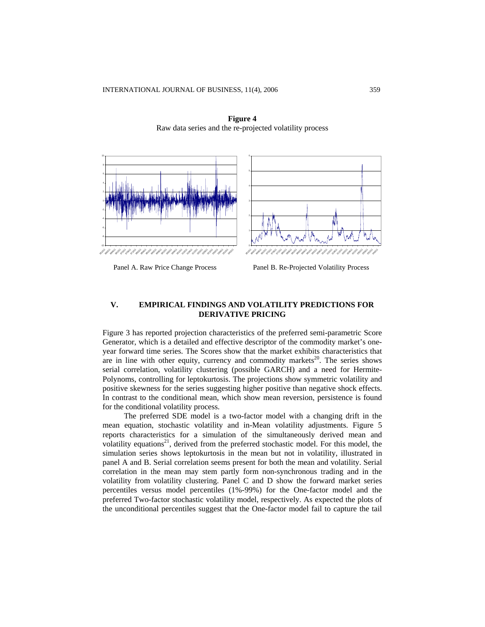

**Figure 4**  Raw data series and the re-projected volatility process



Panel B. Re-Projected Volatility Process

# **V. EMPIRICAL FINDINGS AND VOLATILITY PREDICTIONS FOR DERIVATIVE PRICING**

Figure 3 has reported projection characteristics of the preferred semi-parametric Score Generator, which is a detailed and effective descriptor of the commodity market's oneyear forward time series. The Scores show that the market exhibits characteristics that are in line with other equity, currency and commodity markets<sup>20</sup>. The series shows serial correlation, volatility clustering (possible GARCH) and a need for Hermite-Polynoms, controlling for leptokurtosis. The projections show symmetric volatility and positive skewness for the series suggesting higher positive than negative shock effects. In contrast to the conditional mean, which show mean reversion, persistence is found for the conditional volatility process.

The preferred SDE model is a two-factor model with a changing drift in the mean equation, stochastic volatility and in-Mean volatility adjustments. Figure 5 reports characteristics for a simulation of the simultaneously derived mean and volatility equations<sup>21</sup>, derived from the preferred stochastic model. For this model, the simulation series shows leptokurtosis in the mean but not in volatility, illustrated in panel A and B. Serial correlation seems present for both the mean and volatility. Serial correlation in the mean may stem partly form non-synchronous trading and in the volatility from volatility clustering. Panel C and D show the forward market series percentiles versus model percentiles (1%-99%) for the One-factor model and the preferred Two-factor stochastic volatility model, respectively. As expected the plots of the unconditional percentiles suggest that the One-factor model fail to capture the tail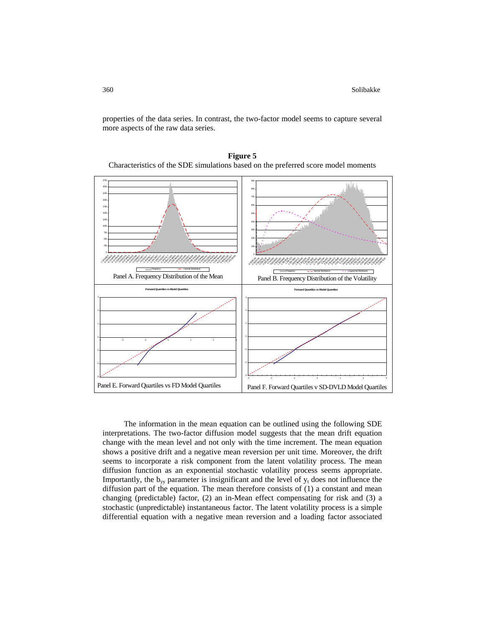properties of the data series. In contrast, the two-factor model seems to capture several more aspects of the raw data series.



**Figure 5**  Characteristics of the SDE simulations based on the preferred score model moments

The information in the mean equation can be outlined using the following SDE interpretations. The two-factor diffusion model suggests that the mean drift equation change with the mean level and not only with the time increment. The mean equation shows a positive drift and a negative mean reversion per unit time. Moreover, the drift seems to incorporate a risk component from the latent volatility process. The mean diffusion function as an exponential stochastic volatility process seems appropriate. Importantly, the  $b_w$  parameter is insignificant and the level of  $y_t$  does not influence the diffusion part of the equation. The mean therefore consists of (1) a constant and mean changing (predictable) factor, (2) an in-Mean effect compensating for risk and (3) a stochastic (unpredictable) instantaneous factor. The latent volatility process is a simple differential equation with a negative mean reversion and a loading factor associated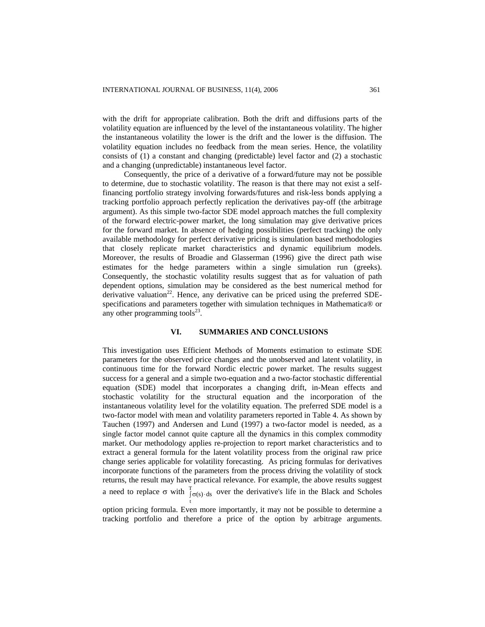with the drift for appropriate calibration. Both the drift and diffusions parts of the volatility equation are influenced by the level of the instantaneous volatility. The higher the instantaneous volatility the lower is the drift and the lower is the diffusion. The volatility equation includes no feedback from the mean series. Hence, the volatility consists of (1) a constant and changing (predictable) level factor and (2) a stochastic and a changing (unpredictable) instantaneous level factor.

Consequently, the price of a derivative of a forward/future may not be possible to determine, due to stochastic volatility. The reason is that there may not exist a selffinancing portfolio strategy involving forwards/futures and risk-less bonds applying a tracking portfolio approach perfectly replication the derivatives pay-off (the arbitrage argument). As this simple two-factor SDE model approach matches the full complexity of the forward electric-power market, the long simulation may give derivative prices for the forward market. In absence of hedging possibilities (perfect tracking) the only available methodology for perfect derivative pricing is simulation based methodologies that closely replicate market characteristics and dynamic equilibrium models. Moreover, the results of Broadie and Glasserman (1996) give the direct path wise estimates for the hedge parameters within a single simulation run (greeks). Consequently, the stochastic volatility results suggest that as for valuation of path dependent options, simulation may be considered as the best numerical method for derivative valuation<sup>22</sup>. Hence, any derivative can be priced using the preferred SDEspecifications and parameters together with simulation techniques in Mathematica® or any other programming tools $^{23}$ .

#### **VI. SUMMARIES AND CONCLUSIONS**

This investigation uses Efficient Methods of Moments estimation to estimate SDE parameters for the observed price changes and the unobserved and latent volatility, in continuous time for the forward Nordic electric power market. The results suggest success for a general and a simple two-equation and a two-factor stochastic differential equation (SDE) model that incorporates a changing drift, in-Mean effects and stochastic volatility for the structural equation and the incorporation of the instantaneous volatility level for the volatility equation. The preferred SDE model is a two-factor model with mean and volatility parameters reported in Table 4. As shown by Tauchen (1997) and Andersen and Lund (1997) a two-factor model is needed, as a single factor model cannot quite capture all the dynamics in this complex commodity market. Our methodology applies re-projection to report market characteristics and to extract a general formula for the latent volatility process from the original raw price change series applicable for volatility forecasting. As pricing formulas for derivatives incorporate functions of the parameters from the process driving the volatility of stock returns, the result may have practical relevance. For example, the above results suggest a need to replace  $\sigma$  with  $\int_{t}^{T} \sigma(s) \cdot ds$  over the derivative's life in the Black and Scholes  $(s) \cdot ds$ 

option pricing formula. Even more importantly, it may not be possible to determine a tracking portfolio and therefore a price of the option by arbitrage arguments.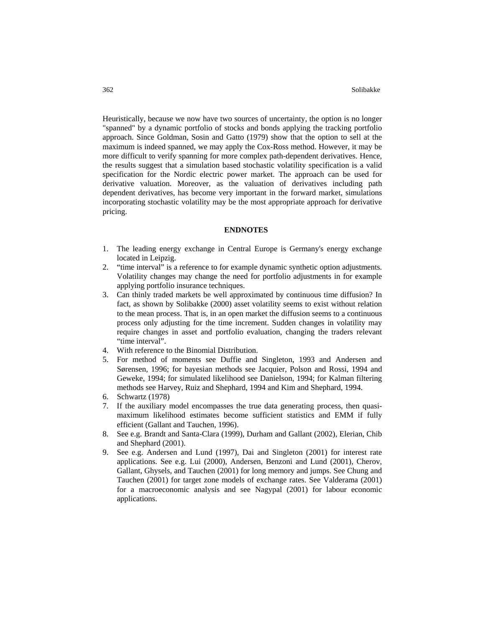Heuristically, because we now have two sources of uncertainty, the option is no longer "spanned" by a dynamic portfolio of stocks and bonds applying the tracking portfolio approach. Since Goldman, Sosin and Gatto (1979) show that the option to sell at the maximum is indeed spanned, we may apply the Cox-Ross method. However, it may be more difficult to verify spanning for more complex path-dependent derivatives. Hence, the results suggest that a simulation based stochastic volatility specification is a valid specification for the Nordic electric power market. The approach can be used for derivative valuation. Moreover, as the valuation of derivatives including path dependent derivatives, has become very important in the forward market, simulations incorporating stochastic volatility may be the most appropriate approach for derivative pricing.

### **ENDNOTES**

- 1. The leading energy exchange in Central Europe is Germany's energy exchange located in Leipzig.
- 2. "time interval" is a reference to for example dynamic synthetic option adjustments. Volatility changes may change the need for portfolio adjustments in for example applying portfolio insurance techniques.
- 3. Can thinly traded markets be well approximated by continuous time diffusion? In fact, as shown by Solibakke (2000) asset volatility seems to exist without relation to the mean process. That is, in an open market the diffusion seems to a continuous process only adjusting for the time increment. Sudden changes in volatility may require changes in asset and portfolio evaluation, changing the traders relevant "time interval".
- 4. With reference to the Binomial Distribution.
- 5. For method of moments see Duffie and Singleton, 1993 and Andersen and Sørensen, 1996; for bayesian methods see Jacquier, Polson and Rossi, 1994 and Geweke, 1994; for simulated likelihood see Danielson, 1994; for Kalman filtering methods see Harvey, Ruiz and Shephard, 1994 and Kim and Shephard, 1994.
- 6. Schwartz (1978)
- 7. If the auxiliary model encompasses the true data generating process, then quasimaximum likelihood estimates become sufficient statistics and EMM if fully efficient (Gallant and Tauchen, 1996).
- 8. See e.g. Brandt and Santa-Clara (1999), Durham and Gallant (2002), Elerian, Chib and Shephard (2001).
- 9. See e.g. Andersen and Lund (1997), Dai and Singleton (2001) for interest rate applications. See e.g. Lui (2000), Andersen, Benzoni and Lund (2001), Cherov, Gallant, Ghysels, and Tauchen (2001) for long memory and jumps. See Chung and Tauchen (2001) for target zone models of exchange rates. See Valderama (2001) for a macroeconomic analysis and see Nagypal (2001) for labour economic applications.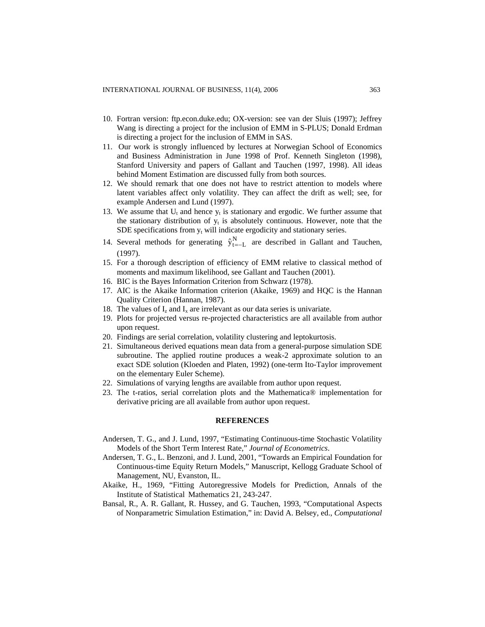- 10. Fortran version: [ftp.econ.duke.edu](ftp://ftp.econ.duke.edu/); OX-version: see van der Sluis (1997); Jeffrey Wang is directing a project for the inclusion of EMM in S-PLUS; Donald Erdman is directing a project for the inclusion of EMM in SAS.
- 11. Our work is strongly influenced by lectures at Norwegian School of Economics and Business Administration in June 1998 of Prof. Kenneth Singleton (1998), Stanford University and papers of Gallant and Tauchen (1997, 1998). All ideas behind Moment Estimation are discussed fully from both sources.
- 12. We should remark that one does not have to restrict attention to models where latent variables affect only volatility. They can affect the drift as well; see, for example Andersen and Lund (1997).
- 13. We assume that  $U_t$  and hence  $y_t$  is stationary and ergodic. We further assume that the stationary distribution of  $y_t$  is absolutely continuous. However, note that the SDE specifications from  $y_t$  will indicate ergodicity and stationary series.
- 14. Several methods for generating  $\hat{y}_{t=-L}^{N}$  are described in Gallant and Tauchen, (1997).
- 15. For a thorough description of efficiency of EMM relative to classical method of moments and maximum likelihood, see Gallant and Tauchen (2001).
- 16. BIC is the Bayes Information Criterion from Schwarz (1978).
- 17. AIC is the Akaike Information criterion (Akaike, 1969) and HQC is the Hannan Quality Criterion (Hannan, 1987).
- 18. The values of  $I_z$  and  $I_x$  are irrelevant as our data series is univariate.
- 19. Plots for projected versus re-projected characteristics are all available from author upon request.
- 20. Findings are serial correlation, volatility clustering and leptokurtosis.
- 21. Simultaneous derived equations mean data from a general-purpose simulation SDE subroutine. The applied routine produces a weak-2 approximate solution to an exact SDE solution (Kloeden and Platen, 1992) (one-term Ito-Taylor improvement on the elementary Euler Scheme).
- 22. Simulations of varying lengths are available from author upon request.
- 23. The t-ratios, serial correlation plots and the Mathematica® implementation for derivative pricing are all available from author upon request.

## **REFERENCES**

- Andersen, T. G., and J. Lund, 1997, "Estimating Continuous-time Stochastic Volatility Models of the Short Term Interest Rate," *Journal of Econometrics*.
- Andersen, T. G., L. Benzoni, and J. Lund, 2001, "Towards an Empirical Foundation for Continuous-time Equity Return Models," Manuscript, Kellogg Graduate School of Management, NU, Evanston, IL.
- Akaike, H., 1969, "Fitting Autoregressive Models for Prediction, Annals of the Institute of Statistical Mathematics 21, 243-247.
- Bansal, R., A. R. Gallant, R. Hussey, and G. Tauchen, 1993, "Computational Aspects of Nonparametric Simulation Estimation," in: David A. Belsey, ed., *Computational*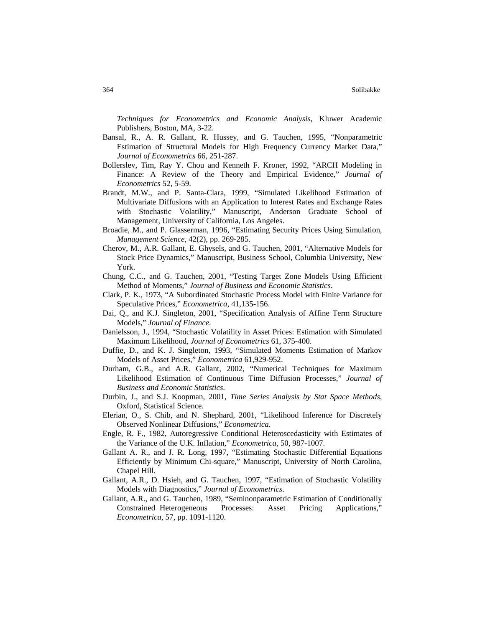*Techniques for Econometrics and Economic Analysis*, Kluwer Academic Publishers, Boston, MA, 3-22.

- Bansal, R., A. R. Gallant, R. Hussey, and G. Tauchen, 1995, "Nonparametric Estimation of Structural Models for High Frequency Currency Market Data," *Journal of Econometrics* 66, 251-287.
- Bollerslev, Tim, Ray Y. Chou and Kenneth F. Kroner, 1992, "ARCH Modeling in Finance: A Review of the Theory and Empirical Evidence," *Journal of Econometrics* 52, 5-59.
- Brandt, M.W., and P. Santa-Clara, 1999, "Simulated Likelihood Estimation of Multivariate Diffusions with an Application to Interest Rates and Exchange Rates with Stochastic Volatility," Manuscript, Anderson Graduate School of Management, University of California, Los Angeles.
- Broadie, M., and P. Glasserman, 1996, "Estimating Security Prices Using Simulation, *Management Science*, 42(2), pp. 269-285.
- Cherov, M., A.R. Gallant, E. Ghysels, and G. Tauchen, 2001, "Alternative Models for Stock Price Dynamics," Manuscript, Business School, Columbia University, New York.
- Chung, C.C., and G. Tauchen, 2001, "Testing Target Zone Models Using Efficient Method of Moments," *Journal of Business and Economic Statistics*.
- Clark, P. K., 1973, "A Subordinated Stochastic Process Model with Finite Variance for Speculative Prices," *Econometrica*, 41,135-156.
- Dai, Q., and K.J. Singleton, 2001, "Specification Analysis of Affine Term Structure Models," *Journal of Finance*.
- Danielsson, J., 1994, "Stochastic Volatility in Asset Prices: Estimation with Simulated Maximum Likelihood, *Journal of Econometrics* 61, 375-400.
- Duffie, D., and K. J. Singleton, 1993, "Simulated Moments Estimation of Markov Models of Asset Prices," *Econometrica* 61,929-952.
- Durham, G.B., and A.R. Gallant, 2002, "Numerical Techniques for Maximum Likelihood Estimation of Continuous Time Diffusion Processes," *Journal of Business and Economic Statistics*.
- Durbin, J., and S.J. Koopman, 2001, *Time Series Analysis by Stat Space Methods*, Oxford, Statistical Science.
- Elerian, O., S. Chib, and N. Shephard, 2001, "Likelihood Inference for Discretely Observed Nonlinear Diffusions," *Econometrica*.
- Engle, R. F., 1982, Autoregressive Conditional Heteroscedasticity with Estimates of the Variance of the U.K. Inflation," *Econometrica*, 50, 987-1007.
- Gallant A. R., and J. R. Long, 1997, "Estimating Stochastic Differential Equations Efficiently by Minimum Chi-square," Manuscript, University of North Carolina, Chapel Hill.
- Gallant, A.R., D. Hsieh, and G. Tauchen, 1997, "Estimation of Stochastic Volatility Models with Diagnostics," *Journal of Econometrics*.
- Gallant, A.R., and G. Tauchen, 1989, "Seminonparametric Estimation of Conditionally Constrained Heterogeneous Processes: Asset Pricing Applications," *Econometrica*, 57, pp. 1091-1120.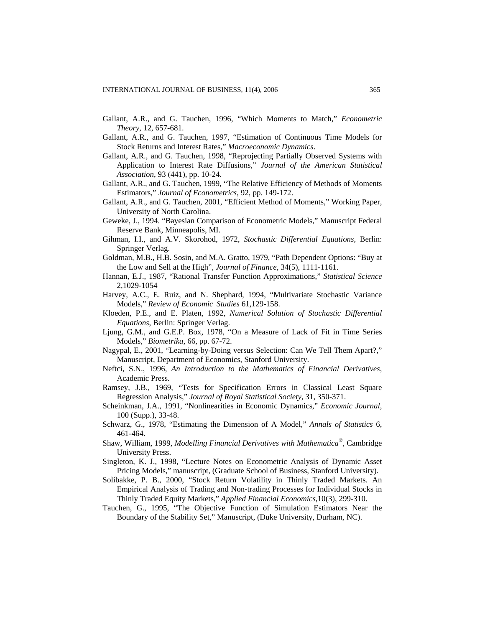- Gallant, A.R., and G. Tauchen, 1996, "Which Moments to Match," *Econometric Theory*, 12, 657-681.
- Gallant, A.R., and G. Tauchen, 1997, "Estimation of Continuous Time Models for Stock Returns and Interest Rates," *Macroeconomic Dynamics*.
- Gallant, A.R., and G. Tauchen, 1998, "Reprojecting Partially Observed Systems with Application to Interest Rate Diffusions," *Journal of the American Statistical Association*, 93 (441), pp. 10-24.
- Gallant, A.R., and G. Tauchen, 1999, "The Relative Efficiency of Methods of Moments Estimators," *Journal of Econometrics*, 92, pp. 149-172.
- Gallant, A.R., and G. Tauchen, 2001, "Efficient Method of Moments," Working Paper, University of North Carolina.
- Geweke, J., 1994. "Bayesian Comparison of Econometric Models," Manuscript Federal Reserve Bank, Minneapolis, MI.
- Gihman, I.I., and A.V. Skorohod, 1972, *Stochastic Differential Equations*, Berlin: Springer Verlag.
- Goldman, M.B., H.B. Sosin, and M.A. Gratto, 1979, "Path Dependent Options: "Buy at the Low and Sell at the High", *Journal of Finance*, 34(5), 1111-1161.
- Hannan, E.J., 1987, "Rational Transfer Function Approximations," *Statistical Science*  2,1029-1054
- Harvey, A.C., E. Ruiz, and N. Shephard, 1994, "Multivariate Stochastic Variance Models," *Review of Economic Studies* 61,129-158.
- Kloeden, P.E., and E. Platen, 1992, *Numerical Solution of Stochastic Differential Equations*, Berlin: Springer Verlag.
- Ljung, G.M., and G.E.P. Box, 1978, "On a Measure of Lack of Fit in Time Series Models," *Biometrika*, 66, pp. 67-72.
- Nagypal, E., 2001, "Learning-by-Doing versus Selection: Can We Tell Them Apart?," Manuscript, Department of Economics, Stanford University.
- Neftci, S.N., 1996, *An Introduction to the Mathematics of Financial Derivatives*, Academic Press.
- Ramsey, J.B., 1969, "Tests for Specification Errors in Classical Least Square Regression Analysis," *Journal of Royal Statistical Society*, 31, 350-371.
- Scheinkman, J.A., 1991, "Nonlinearities in Economic Dynamics," *Economic Journal*, 100 (Supp.), 33-48.
- Schwarz, G., 1978, "Estimating the Dimension of A Model," *Annals of Statistics* 6, 461-464.
- Shaw, William, 1999, *Modelling Financial Derivatives with Mathematica®*, Cambridge University Press.
- Singleton, K. J., 1998, "Lecture Notes on Econometric Analysis of Dynamic Asset Pricing Models," manuscript, (Graduate School of Business, Stanford University).
- Solibakke, P. B., 2000, "Stock Return Volatility in Thinly Traded Markets. An Empirical Analysis of Trading and Non-trading Processes for Individual Stocks in Thinly Traded Equity Markets," *Applied Financial Economics*,10(3), 299-310.
- Tauchen, G., 1995, "The Objective Function of Simulation Estimators Near the Boundary of the Stability Set," Manuscript, (Duke University, Durham, NC).